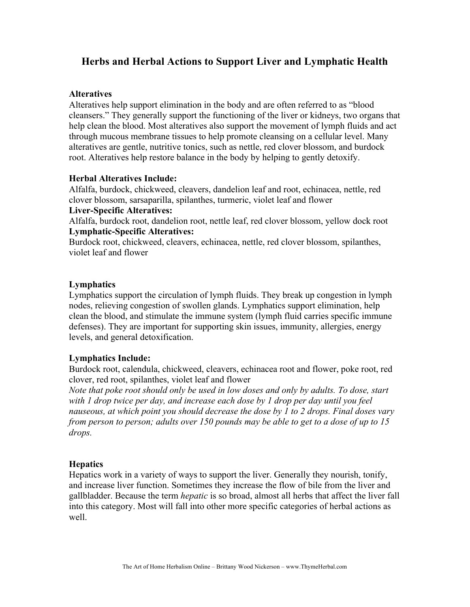# **Herbs and Herbal Actions to Support Liver and Lymphatic Health**

## **Alteratives**

Alteratives help support elimination in the body and are often referred to as "blood cleansers." They generally support the functioning of the liver or kidneys, two organs that help clean the blood. Most alteratives also support the movement of lymph fluids and act through mucous membrane tissues to help promote cleansing on a cellular level. Many alteratives are gentle, nutritive tonics, such as nettle, red clover blossom, and burdock root. Alteratives help restore balance in the body by helping to gently detoxify.

# **Herbal Alteratives Include:**

Alfalfa, burdock, chickweed, cleavers, dandelion leaf and root, echinacea, nettle, red clover blossom, sarsaparilla, spilanthes, turmeric, violet leaf and flower **Liver-Specific Alteratives:**

Alfalfa, burdock root, dandelion root, nettle leaf, red clover blossom, yellow dock root **Lymphatic-Specific Alteratives:**

Burdock root, chickweed, cleavers, echinacea, nettle, red clover blossom, spilanthes, violet leaf and flower

# **Lymphatics**

Lymphatics support the circulation of lymph fluids. They break up congestion in lymph nodes, relieving congestion of swollen glands. Lymphatics support elimination, help clean the blood, and stimulate the immune system (lymph fluid carries specific immune defenses). They are important for supporting skin issues, immunity, allergies, energy levels, and general detoxification.

# **Lymphatics Include:**

Burdock root, calendula, chickweed, cleavers, echinacea root and flower, poke root, red clover, red root, spilanthes, violet leaf and flower

*Note that poke root should only be used in low doses and only by adults. To dose, start with 1 drop twice per day, and increase each dose by 1 drop per day until you feel nauseous, at which point you should decrease the dose by 1 to 2 drops. Final doses vary from person to person; adults over 150 pounds may be able to get to a dose of up to 15 drops.*

## **Hepatics**

Hepatics work in a variety of ways to support the liver. Generally they nourish, tonify, and increase liver function. Sometimes they increase the flow of bile from the liver and gallbladder. Because the term *hepatic* is so broad, almost all herbs that affect the liver fall into this category. Most will fall into other more specific categories of herbal actions as well.